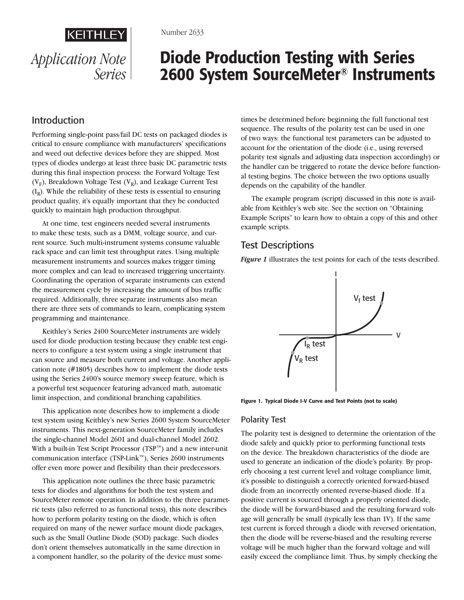



#### Number 2633

# Diode Production Testing with Series 2600 System SourceMeter® Instruments

### Introduction

Performing single-point pass/fail DC tests on packaged diodes is critical to ensure compliance with manufacturers' specifications and weed out defective devices before they are shipped. Most types of diodes undergo at least three basic DC parametric tests during this final inspection process: the Forward Voltage Test ( $V_F$ ), Breakdown Voltage Test ( $V_R$ ), and Leakage Current Test  $(I_R)$ . While the reliability of these tests is essential to ensuring product quality, it's equally important that they be conducted quickly to maintain high production throughput.

At one time, test engineers needed several instruments to make these tests, such as a DMM, voltage source, and current source. Such multi-instrument systems consume valuable rack space and can limit test throughput rates. Using multiple measurement instruments and sources makes trigger timing more complex and can lead to increased triggering uncertainty. Coordinating the operation of separate instruments can extend the measurement cycle by increasing the amount of bus traffic required. Additionally, three separate instruments also mean there are three sets of commands to learn, complicating system programming and maintenance.

Keithley's Series 2400 SourceMeter instruments are widely used for diode production testing because they enable test engineers to configure a test system using a single instrument that can source and measure both current and voltage. Another application note (#1805) describes how to implement the diode tests using the Series 2400's source memory sweep feature, which is a powerful test sequencer featuring advanced math, automatic limit inspection, and conditional branching capabilities.

This application note describes how to implement a diode test system using Keithley's new Series 2600 System SourceMeter instruments. This next-generation SourceMeter family includes the single-channel Model 2601 and dual-channel Model 2602. With a built-in Test Script Processor (TSP™) and a new inter-unit communication interface (TSP-Link™), Series 2600 instruments offer even more power and flexibility than their predecessors.

This application note outlines the three basic parametric tests for diodes and algorithms for both the test system and SourceMeter remote operation. In addition to the three parametric tests (also referred to as functional tests), this note describes how to perform polarity testing on the diode, which is often required on many of the newer surface mount diode packages, such as the Small Outline Diode (SOD) package. Such diodes don't orient themselves automatically in the same direction in a component handler, so the polarity of the device must sometimes be determined before beginning the full functional test sequence. The results of the polarity test can be used in one of two ways: the functional test parameters can be adjusted to account for the orientation of the diode (i.e., using reversed polarity test signals and adjusting data inspection accordingly) or the handler can be triggered to rotate the device before functional testing begins. The choice between the two options usually depends on the capability of the handler.

The example program (script) discussed in this note is available from Keithley's web site. See the section on "Obtaining Example Scripts" to learn how to obtain a copy of this and other example scripts.

### Test Descriptions

*Figure 1* illustrates the test points for each of the tests described.



Figure 1. Typical Diode I-V Curve and Test Points (not to scale)

### Polarity Test

The polarity test is designed to determine the orientation of the diode safely and quickly prior to performing functional tests on the device. The breakdown characteristics of the diode are used to generate an indication of the diode's polarity. By properly choosing a test current level and voltage compliance limit, it's possible to distinguish a correctly oriented forward-biased diode from an incorrectly oriented reverse-biased diode. If a positive current is sourced through a properly oriented diode, the diode will be forward-biased and the resulting forward voltage will generally be small (typically less than 1V). If the same test current is forced through a diode with reversed orientation, then the diode will be reverse-biased and the resulting reverse voltage will be much higher than the forward voltage and will easily exceed the compliance limit. Thus, by simply checking the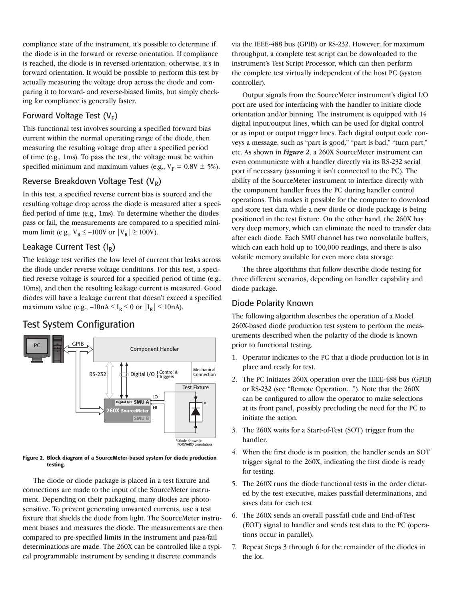compliance state of the instrument, it's possible to determine if the diode is in the forward or reverse orientation. If compliance is reached, the diode is in reversed orientation; otherwise, it's in forward orientation. It would be possible to perform this test by actually measuring the voltage drop across the diode and comparing it to forward- and reverse-biased limits, but simply checking for compliance is generally faster.

### Forward Voltage Test  $(V_F)$

This functional test involves sourcing a specified forward bias current within the normal operating range of the diode, then measuring the resulting voltage drop after a specified period of time (e.g., 1ms). To pass the test, the voltage must be within specified minimum and maximum values (e.g.,  $V_F = 0.8V \pm 5\%$ ).

#### Reverse Breakdown Voltage Test  $(V_R)$

In this test, a specified reverse current bias is sourced and the resulting voltage drop across the diode is measured after a specified period of time (e.g., 1ms). To determine whether the diodes pass or fail, the measurements are compared to a specified minimum limit (e.g.,  $V_R \le -100V$  or  $|V_R| \ge 100V$ ).

#### Leakage Current Test  $(I_R)$

The leakage test verifies the low level of current that leaks across the diode under reverse voltage conditions. For this test, a specified reverse voltage is sourced for a specified period of time (e.g., 10ms), and then the resulting leakage current is measured. Good diodes will have a leakage current that doesn't exceed a specified maximum value (e.g.,  $-10nA \le I_R \le 0$  or  $|I_R| \le 10nA$ ).

### Test System Configuration



#### Figure 2. Block diagram of a SourceMeter-based system for diode production testing.

The diode or diode package is placed in a test fixture and connections are made to the input of the SourceMeter instrument. Depending on their packaging, many diodes are photosensitive. To prevent generating unwanted currents, use a test fixture that shields the diode from light. The SourceMeter instrument biases and measures the diode. The measurements are then compared to pre-specified limits in the instrument and pass/fail determinations are made. The 260X can be controlled like a typical programmable instrument by sending it discrete commands

via the IEEE-488 bus (GPIB) or RS-232. However, for maximum throughput, a complete test script can be downloaded to the instrument's Test Script Processor, which can then perform the complete test virtually independent of the host PC (system controller).

Output signals from the SourceMeter instrument's digital I/O port are used for interfacing with the handler to initiate diode orientation and/or binning. The instrument is equipped with 14 digital input/output lines, which can be used for digital control or as input or output trigger lines. Each digital output code conveys a message, such as "part is good," "part is bad," "turn part," etc. As shown in *Figure 2*, a 260X SourceMeter instrument can even communicate with a handler directly via its RS-232 serial port if necessary (assuming it isn't connected to the PC). The ability of the SourceMeter instrument to interface directly with the component handler frees the PC during handler control operations. This makes it possible for the computer to download and store test data while a new diode or diode package is being positioned in the test fixture. On the other hand, the 260X has very deep memory, which can eliminate the need to transfer data after each diode. Each SMU channel has two nonvolatile buffers, which can each hold up to 100,000 readings, and there is also volatile memory available for even more data storage.

The three algorithms that follow describe diode testing for three different scenarios, depending on handler capability and diode package.

#### Diode Polarity Known

The following algorithm describes the operation of a Model 260X-based diode production test system to perform the measurements described when the polarity of the diode is known prior to functional testing.

- 1. Operator indicates to the PC that a diode production lot is in place and ready for test.
- 2. The PC initiates 260X operation over the IEEE-488 bus (GPIB) or RS-232 (see "Remote Operation…"). Note that the 260X can be configured to allow the operator to make selections at its front panel, possibly precluding the need for the PC to initiate the action.
- 3. The 260X waits for a Start-of-Test (SOT) trigger from the handler.
- 4. When the first diode is in position, the handler sends an SOT trigger signal to the 260X, indicating the first diode is ready for testing.
- 5. The 260X runs the diode functional tests in the order dictated by the test executive, makes pass/fail determinations, and saves data for each test.
- 6. The 260X sends an overall pass/fail code and End-of-Test (EOT) signal to handler and sends test data to the PC (operations occur in parallel).
- 7. Repeat Steps 3 through 6 for the remainder of the diodes in the lot.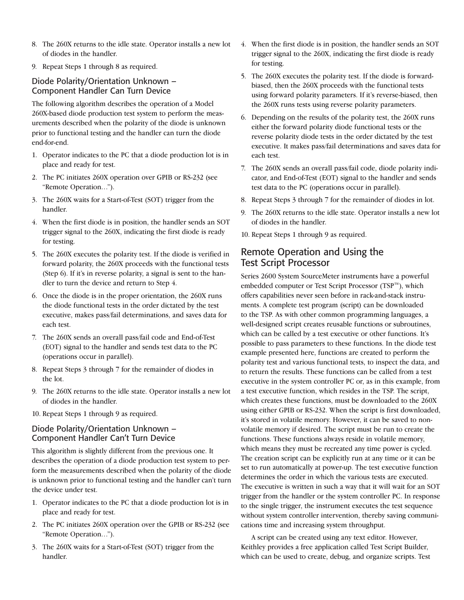- 8. The 260X returns to the idle state. Operator installs a new lot of diodes in the handler.
- 9. Repeat Steps 1 through 8 as required.

### Diode Polarity/Orientation Unknown – Component Handler Can Turn Device

The following algorithm describes the operation of a Model 260X-based diode production test system to perform the measurements described when the polarity of the diode is unknown prior to functional testing and the handler can turn the diode end-for-end.

- 1. Operator indicates to the PC that a diode production lot is in place and ready for test.
- 2. The PC initiates 260X operation over GPIB or RS-232 (see "Remote Operation…").
- 3. The 260X waits for a Start-of-Test (SOT) trigger from the handler.
- 4. When the first diode is in position, the handler sends an SOT trigger signal to the 260X, indicating the first diode is ready for testing.
- 5. The 260X executes the polarity test. If the diode is verified in forward polarity, the 260X proceeds with the functional tests (Step 6). If it's in reverse polarity, a signal is sent to the handler to turn the device and return to Step 4.
- 6. Once the diode is in the proper orientation, the 260X runs the diode functional tests in the order dictated by the test executive, makes pass/fail determinations, and saves data for each test.
- 7. The 260X sends an overall pass/fail code and End-of-Test (EOT) signal to the handler and sends test data to the PC (operations occur in parallel).
- 8. Repeat Steps 3 through 7 for the remainder of diodes in the lot.
- 9. The 260X returns to the idle state. Operator installs a new lot of diodes in the handler.
- 10. Repeat Steps 1 through 9 as required.

### Diode Polarity/Orientation Unknown – Component Handler Can't Turn Device

This algorithm is slightly different from the previous one. It describes the operation of a diode production test system to perform the measurements described when the polarity of the diode is unknown prior to functional testing and the handler can't turn the device under test.

- 1. Operator indicates to the PC that a diode production lot is in place and ready for test.
- 2. The PC initiates 260X operation over the GPIB or RS-232 (see "Remote Operation…").
- 3. The 260X waits for a Start-of-Test (SOT) trigger from the handler.
- 4. When the first diode is in position, the handler sends an SOT trigger signal to the 260X, indicating the first diode is ready for testing.
- 5. The 260X executes the polarity test. If the diode is forwardbiased, then the 260X proceeds with the functional tests using forward polarity parameters. If it's reverse-biased, then the 260X runs tests using reverse polarity parameters.
- 6. Depending on the results of the polarity test, the 260X runs either the forward polarity diode functional tests or the reverse polarity diode tests in the order dictated by the test executive. It makes pass/fail determinations and saves data for each test.
- 7. The 260X sends an overall pass/fail code, diode polarity indicator, and End-of-Test (EOT) signal to the handler and sends test data to the PC (operations occur in parallel).
- 8. Repeat Steps 3 through 7 for the remainder of diodes in lot.
- 9. The 260X returns to the idle state. Operator installs a new lot of diodes in the handler.
- 10. Repeat Steps 1 through 9 as required.

### Remote Operation and Using the Test Script Processor

Series 2600 System SourceMeter instruments have a powerful embedded computer or Test Script Processor (TSP™), which offers capabilities never seen before in rack-and-stack instruments. A complete test program (script) can be downloaded to the TSP. As with other common programming languages, a well-designed script creates reusable functions or subroutines, which can be called by a test executive or other functions. It's possible to pass parameters to these functions. In the diode test example presented here, functions are created to perform the polarity test and various functional tests, to inspect the data, and to return the results. These functions can be called from a test executive in the system controller PC or, as in this example, from a test executive function, which resides in the TSP. The script, which creates these functions, must be downloaded to the 260X using either GPIB or RS-232. When the script is first downloaded, it's stored in volatile memory. However, it can be saved to nonvolatile memory if desired. The script must be run to create the functions. These functions always reside in volatile memory, which means they must be recreated any time power is cycled. The creation script can be explicitly run at any time or it can be set to run automatically at power-up. The test executive function determines the order in which the various tests are executed. The executive is written in such a way that it will wait for an SOT trigger from the handler or the system controller PC. In response to the single trigger, the instrument executes the test sequence without system controller intervention, thereby saving communications time and increasing system throughput.

A script can be created using any text editor. However, Keithley provides a free application called Test Script Builder, which can be used to create, debug, and organize scripts. Test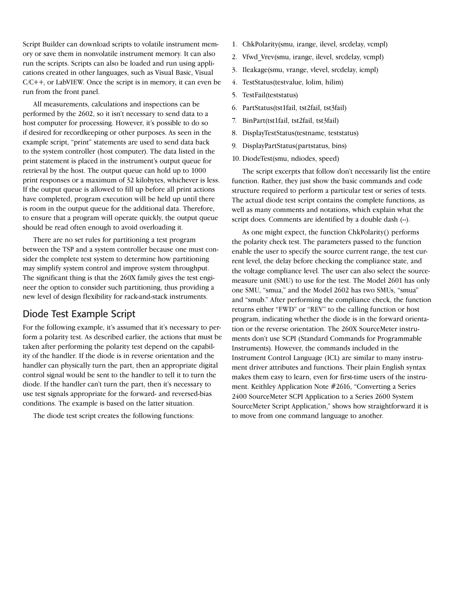Script Builder can download scripts to volatile instrument memory or save them in nonvolatile instrument memory. It can also run the scripts. Scripts can also be loaded and run using applications created in other languages, such as Visual Basic, Visual C/C++, or LabVIEW. Once the script is in memory, it can even be run from the front panel.

All measurements, calculations and inspections can be performed by the 2602, so it isn't necessary to send data to a host computer for processing. However, it's possible to do so if desired for recordkeeping or other purposes. As seen in the example script, "print" statements are used to send data back to the system controller (host computer). The data listed in the print statement is placed in the instrument's output queue for retrieval by the host. The output queue can hold up to 1000 print responses or a maximum of 32 kilobytes, whichever is less. If the output queue is allowed to fill up before all print actions have completed, program execution will be held up until there is room in the output queue for the additional data. Therefore, to ensure that a program will operate quickly, the output queue should be read often enough to avoid overloading it.

There are no set rules for partitioning a test program between the TSP and a system controller because one must consider the complete test system to determine how partitioning may simplify system control and improve system throughput. The significant thing is that the 260X family gives the test engineer the option to consider such partitioning, thus providing a new level of design flexibility for rack-and-stack instruments.

### Diode Test Example Script

For the following example, it's assumed that it's necessary to perform a polarity test. As described earlier, the actions that must be taken after performing the polarity test depend on the capability of the handler. If the diode is in reverse orientation and the handler can physically turn the part, then an appropriate digital control signal would be sent to the handler to tell it to turn the diode. If the handler can't turn the part, then it's necessary to use test signals appropriate for the forward- and reversed-bias conditions. The example is based on the latter situation.

The diode test script creates the following functions:

- 1. ChkPolarity(smu, irange, ilevel, srcdelay, vcmpl)
- 2. Vfwd\_Vrev(smu, irange, ilevel, srcdelay, vcmpl)
- 3. Ileakage(smu, vrange, vlevel, srcdelay, icmpl)
- 4. TestStatus(testvalue, lolim, hilim)
- 5. TestFail(teststatus)
- 6. PartStatus(tst1fail, tst2fail, tst3fail)
- 7. BinPart(tst1fail, tst2fail, tst3fail)
- 8. DisplayTestStatus(testname, teststatus)
- 9. DisplayPartStatus(partstatus, bins)
- 10. DiodeTest(smu, ndiodes, speed)

The script excerpts that follow don't necessarily list the entire function. Rather, they just show the basic commands and code structure required to perform a particular test or series of tests. The actual diode test script contains the complete functions, as well as many comments and notations, which explain what the script does. Comments are identified by a double dash  $(-)$ .

As one might expect, the function ChkPolarity() performs the polarity check test. The parameters passed to the function enable the user to specify the source current range, the test current level, the delay before checking the compliance state, and the voltage compliance level. The user can also select the sourcemeasure unit (SMU) to use for the test. The Model 2601 has only one SMU, "smua," and the Model 2602 has two SMUs, "smua" and "smub." After performing the compliance check, the function returns either "FWD" or "REV" to the calling function or host program, indicating whether the diode is in the forward orientation or the reverse orientation. The 260X SourceMeter instruments don't use SCPI (Standard Commands for Programmable Instruments). However, the commands included in the Instrument Control Language (ICL) are similar to many instrument driver attributes and functions. Their plain English syntax makes them easy to learn, even for first-time users of the instrument. Keithley Application Note #2616, "Converting a Series 2400 SourceMeter SCPI Application to a Series 2600 System SourceMeter Script Application," shows how straightforward it is to move from one command language to another.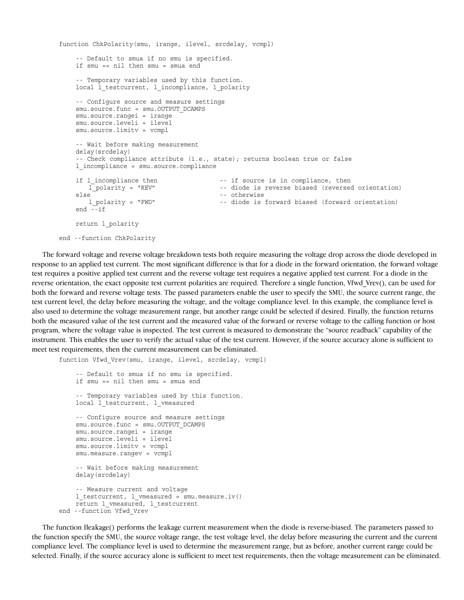```
function ChkPolarity(smu, irange, ilevel, srcdelay, vcmpl)
    -- Default to smua if no smu is specified.
    if smu == nil then smu = smua end
     -- Temporary variables used by this function.
    local l testcurrent, l incompliance, l polarity
    -- Configure source and measure settings
    smu.source.func = smu.OUTPUT_DCAMPS
    smu.source.rangei = irange
    smu.source.leveli = ilevel
    smu.source.limitv = vcmpl
    -- Wait before making measurement
    delay(srcdelay)
     -- Check compliance attribute (i.e., state); returns boolean true or false
    l_incompliance = smu.source.compliance
    if l_incompliance then \qquad \qquad --\qquad if source is in compliance, then \qquad l polarity = "REV" \qquad --\qquad diode is reverse biased (reversed
                                             -- diode is reverse biased (reversed orientation)
    else -- otherwise
                                             -- diode is forward biased (forward orientation)
    end --if
    return l_polarity
end --function ChkPolarity
```
The forward voltage and reverse voltage breakdown tests both require measuring the voltage drop across the diode developed in response to an applied test current. The most significant difference is that for a diode in the forward orientation, the forward voltage test requires a positive applied test current and the reverse voltage test requires a negative applied test current. For a diode in the reverse orientation, the exact opposite test current polarities are required. Therefore a single function, Vfwd\_Vrev(), can be used for both the forward and reverse voltage tests. The passed parameters enable the user to specify the SMU, the source current range, the test current level, the delay before measuring the voltage, and the voltage compliance level. In this example, the compliance level is also used to determine the voltage measurement range, but another range could be selected if desired. Finally, the function returns both the measured value of the test current and the measured value of the forward or reverse voltage to the calling function or host program, where the voltage value is inspected. The test current is measured to demonstrate the "source readback" capability of the instrument. This enables the user to verify the actual value of the test current. However, if the source accuracy alone is sufficient to meet test requirements, then the current measurement can be eliminated.

function Vfwd Vrev(smu, irange, ilevel, srcdelay, vcmpl) -- Default to smua if no smu is specified. if smu == nil then smu = smua end -- Temporary variables used by this function. local 1 testcurrent, 1 vmeasured -- Configure source and measure settings smu.source.func = smu.OUTPUT\_DCAMPS smu.source.rangei = irange smu.source.leveli = ilevel smu.source.limitv = vcmpl smu.measure.rangev = vcmpl -- Wait before making measurement delay(srcdelay) -- Measure current and voltage l\_testcurrent, l\_vmeasured = smu.measure.iv() return 1 vmeasured, 1 testcurrent end --function Vfwd\_Vrev

The function Ileakage() performs the leakage current measurement when the diode is reverse-biased. The parameters passed to the function specify the SMU, the source voltage range, the test voltage level, the delay before measuring the current and the current compliance level. The compliance level is used to determine the measurement range, but as before, another current range could be selected. Finally, if the source accuracy alone is sufficient to meet test requirements, then the voltage measurement can be eliminated.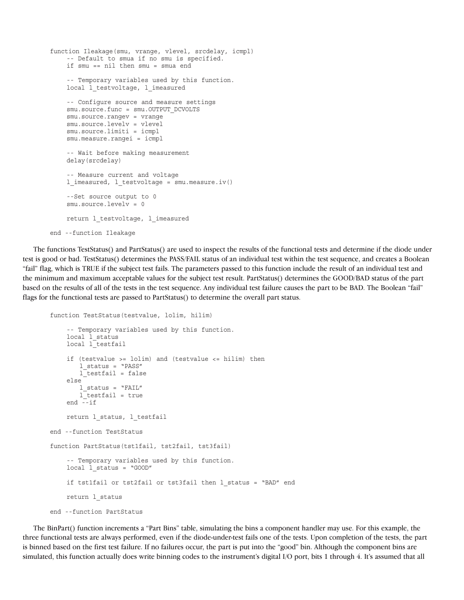```
function Ileakage(smu, vrange, vlevel, srcdelay, icmpl)
    -- Default to smua if no smu is specified.
    if smu == nil then smu = smua end
    -- Temporary variables used by this function.
    local 1 testvoltage, 1 imeasured
    -- Configure source and measure settings
    smu.source.func = smu.OUTPUT DCVOLTS
    smu.source.rangev = vrange
    smu.source.levelv = vlevel
    smu.source.limiti = icmpl
    smu.measure.rangei = icmpl
    -- Wait before making measurement
    delay(srcdelay)
    -- Measure current and voltage
    l_imeasured, l_testvoltage = smu.measure.iv()
    --Set source output to 0
    smu.source.levelv = 0
    return 1 testvoltage, 1 imeasured
end --function Ileakage
```
The functions TestStatus() and PartStatus() are used to inspect the results of the functional tests and determine if the diode under test is good or bad. TestStatus() determines the PASS/FAIL status of an individual test within the test sequence, and creates a Boolean "fail" flag, which is TRUE if the subject test fails. The parameters passed to this function include the result of an individual test and the minimum and maximum acceptable values for the subject test result. PartStatus() determines the GOOD/BAD status of the part based on the results of all of the tests in the test sequence. Any individual test failure causes the part to be BAD. The Boolean "fail" flags for the functional tests are passed to PartStatus() to determine the overall part status.

```
function TestStatus(testvalue, lolim, hilim)
```

```
-- Temporary variables used by this function.
    local 1 status
    local l_testfail
    if (testvalue >= lolim) and (testvalue <= hilim) then
        l_status = "PASS"
         l_testfail = false
    else
         l_status = "FAIL"
        l testfail = true
    end --if
    return l_status, l_testfail
end --function TestStatus
function PartStatus(tst1fail, tst2fail, tst3fail)
    -- Temporary variables used by this function.
    local 1 status = "GOOD"
    if tst1fail or tst2fail or tst3fail then 1 status = "BAD" end
    return l_status
end --function PartStatus
```
The BinPart() function increments a "Part Bins" table, simulating the bins a component handler may use. For this example, the three functional tests are always performed, even if the diode-under-test fails one of the tests. Upon completion of the tests, the part is binned based on the first test failure. If no failures occur, the part is put into the "good" bin. Although the component bins are simulated, this function actually does write binning codes to the instrument's digital I/O port, bits 1 through 4. It's assumed that all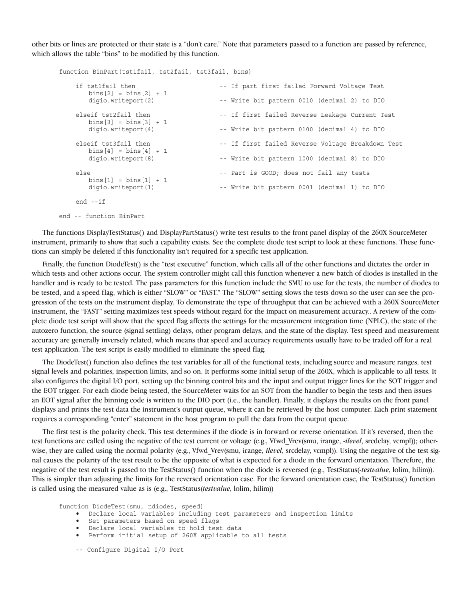other bits or lines are protected or their state is a "don't care." Note that parameters passed to a function are passed by reference, which allows the table "bins" to be modified by this function.

| function BinPart(tst1fail, tst2fail, tst3fail, bins)                    |                                                   |
|-------------------------------------------------------------------------|---------------------------------------------------|
| if tst1fail then<br>$bins[2] = bins[2] + 1$<br>digio.writeport(2)       | -- If part first failed Forward Voltage Test      |
|                                                                         | -- Write bit pattern 0010 (decimal 2) to DIO      |
| elseif tst2fail then<br>$bins [3] = bins [3] + 1$<br>digio.writeport(4) | -- If first failed Reverse Leakage Current Test   |
|                                                                         | -- Write bit pattern 0100 (decimal 4) to DIO      |
| elseif tst3fail then<br>$bins[4] = bins[4] + 1$<br>digio.writeport(8)   | -- If first failed Reverse Voltage Breakdown Test |
|                                                                         | -- Write bit pattern 1000 (decimal 8) to DIO      |
| else<br>$bins[1] = bins[1] + 1$<br>digio.writeport(1)                   | -- Part is GOOD; does not fail any tests          |
|                                                                         | -- Write bit pattern 0001 (decimal 1) to DIO      |
| $end -- if$                                                             |                                                   |

end -- function BinPart

The functions DisplayTestStatus() and DisplayPartStatus() write test results to the front panel display of the 260X SourceMeter instrument, primarily to show that such a capability exists. See the complete diode test script to look at these functions. These functions can simply be deleted if this functionality isn't required for a specific test application.

Finally, the function DiodeTest() is the "test executive" function, which calls all of the other functions and dictates the order in which tests and other actions occur. The system controller might call this function whenever a new batch of diodes is installed in the handler and is ready to be tested. The pass parameters for this function include the SMU to use for the tests, the number of diodes to be tested, and a speed flag, which is either "SLOW" or "FAST." The "SLOW" setting slows the tests down so the user can see the progression of the tests on the instrument display. To demonstrate the type of throughput that can be achieved with a 260X SourceMeter instrument, the "FAST" setting maximizes test speeds without regard for the impact on measurement accuracy.. A review of the complete diode test script will show that the speed flag affects the settings for the measurement integration time (NPLC), the state of the autozero function, the source (signal settling) delays, other program delays, and the state of the display. Test speed and measurement accuracy are generally inversely related, which means that speed and accuracy requirements usually have to be traded off for a real test application. The test script is easily modified to eliminate the speed flag.

The DiodeTest() function also defines the test variables for all of the functional tests, including source and measure ranges, test signal levels and polarities, inspection limits, and so on. It performs some initial setup of the 260X, which is applicable to all tests. It also configures the digital I/O port, setting up the binning control bits and the input and output trigger lines for the SOT trigger and the EOT trigger. For each diode being tested, the SourceMeter waits for an SOT from the handler to begin the tests and then issues an EOT signal after the binning code is written to the DIO port (i.e., the handler). Finally, it displays the results on the front panel displays and prints the test data the instrument's output queue, where it can be retrieved by the host computer. Each print statement requires a corresponding "enter" statement in the host program to pull the data from the output queue.

The first test is the polarity check. This test determines if the diode is in forward or reverse orientation. If it's reversed, then the test functions are called using the negative of the test current or voltage (e.g., Vfwd\_Vrev(smu, irange, *-ilevel*, srcdelay, vcmpl)); otherwise, they are called using the normal polarity (e.g., Vfwd\_Vrev(smu, irange, *ilevel*, srcdelay, vcmpl)). Using the negative of the test signal causes the polarity of the test result to be the opposite of what is expected for a diode in the forward orientation. Therefore, the negative of the test result is passed to the TestStatus() function when the diode is reversed (e.g., TestStatus(*-testvalue*, lolim, hilim)). This is simpler than adjusting the limits for the reversed orientation case. For the forward orientation case, the TestStatus() function is called using the measured value as is (e.g., TestStatus(*testvalue*, lolim, hilim))

function DiodeTest(smu, ndiodes, speed)

- Declare local variables including test parameters and inspection limits
- Set parameters based on speed flags<br>• Declare local variables to hold test
- Declare local variables to hold test data
- Perform initial setup of 260X applicable to all tests
- -- Configure Digital I/O Port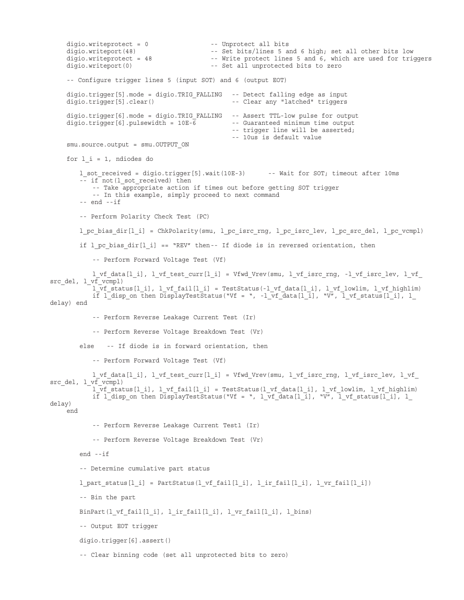digio.writeprotect = 0 -- Unprotect all bits digio.writeport(48) -- Set bits/lines 5 and 6 high; set all other bits low<br>digio.writeprotect = 48 -- Write protect lines 5 and 6, which are used for trie -- Write protect lines 5 and 6, which are used for triggers digio.writeport(0) -- Set all unprotected bits to zero -- Configure trigger lines 5 (input SOT) and 6 (output EOT) digio.trigger[5].mode = digio.TRIG\_FALLING -- Detect falling edge as input digio.trigger[5].clear() -- Clear any "latched" triggers digio.trigger[6].mode = digio.TRIG\_FALLING -- Assert TTL-low pulse for output digio.trigger[6].pulsewidth =  $10E-\overline{6}$  -- Guaranteed minimum time output -- Guaranteed minimum time output -- trigger line will be asserted; -- 10us is default value smu.source.output = smu.OUTPUT ON for  $l_i = 1$ , ndiodes do l\_sot\_received = digio.trigger[5].wait(10E-3) -- Wait for SOT; timeout after 10ms -- if not (1\_sot\_received) then -- Take appropriate action if times out before getting SOT trigger -- In this example, simply proceed to next command  $-- end -- if$  -- Perform Polarity Check Test (PC) l pc bias dir[l\_i] = ChkPolarity(smu, l\_pc\_isrc\_rng, l\_pc\_isrc\_lev, l\_pc\_src\_del, l\_pc\_vcmpl) if  $l$  pc bias  $dir[l_i]$  == "REV" then-- If diode is in reversed orientation, then -- Perform Forward Voltage Test (Vf) l vf data[l\_i], l\_vf\_test\_curr[l\_i] = Vfwd\_Vrev(smu, l\_vf\_isrc\_rng, -l\_vf\_isrc\_lev, l\_vf\_ src\_del, 1 vf\_vcmpl) l\_vf\_status[l\_i], l\_vf\_fail[l\_i] = TestStatus(-l\_vf\_data[l\_i], l\_vf\_lowlim, l\_vf\_highlim) if  $l$  disp\_on\_then\_DisplayTestStatus("Vf = ", -l\_vf\_data[l\_i], "V", l\_vf\_status[l\_i], l delay) end -- Perform Reverse Leakage Current Test (Ir) -- Perform Reverse Voltage Breakdown Test (Vr) else -- If diode is in forward orientation, then -- Perform Forward Voltage Test (Vf)  $l\_vf\_data[l\_i]$ ,  $l\_vf\_test\_curr[l\_i]$  = Vfwd\_Vrev(smu,  $l\_vf\_isrc\_rng$ ,  $l\_vf\_isrc\_lev$ ,  $l\_vf\_c$ src del,  $l \text{ vf } v$ cmpl) l vf status[l i], l vf fail[l i] = TestStatus(l vf data[l i], l vf lowlim, l vf highlim) if  $l$  disp\_on then DisplayTestStatus("Vf = ",  $l$ \_vf\_data[l\_i], "V", l\_vf\_status[l\_i], l\_ delay) end -- Perform Reverse Leakage Current Test1 (Ir) -- Perform Reverse Voltage Breakdown Test (Vr) end --if -- Determine cumulative part status l\_part\_status[l\_i] = PartStatus(l\_vf\_fail[l\_i], l\_ir\_fail[l\_i], l\_vr\_fail[l\_i]) -- Bin the part BinPart(l\_vf\_fail[l\_i], l\_ir\_fail[l\_i], l\_vr\_fail[l\_i], l\_bins) -- Output EOT trigger digio.trigger[6].assert() -- Clear binning code (set all unprotected bits to zero)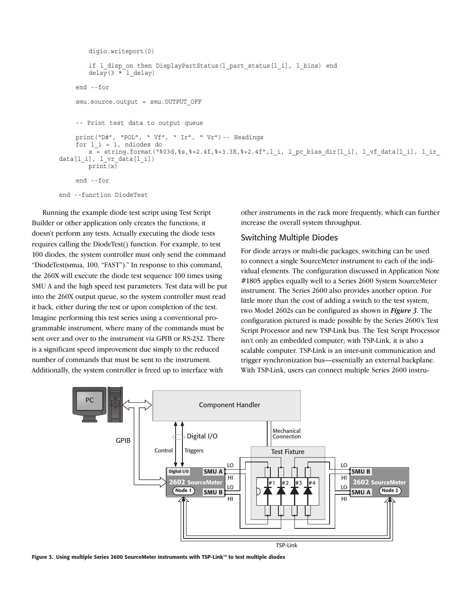```
 digio.writeport(0)
        if 1 disp on then DisplayPartStatus(1 part status[1 i], 1 bins) end
        dela\overline{y}(3 * l_delay)
    end --for
    smu.source.output = smu.OUTPUT OFF
    -- Print test data to output queue
    print("D#", "POL", " Vf", " Ir", " Vr") -- Headings
    for l i = 1, ndiodes do
        x = string.format("%03d,%s,%+2.4f,%+3.3E,%+2.4f",1_i, l_pc_bias dir[l_i], l_vf_data[l_i], l_ir_
data[l_i], l_vr_data[l_i])
        prin\line{x}end --for
end --function DiodeTest
```
Running the example diode test script using Test Script Builder or other application only creates the functions; it doesn't perform any tests. Actually executing the diode tests requires calling the DiodeTest() function. For example, to test 100 diodes, the system controller must only send the command "DiodeTest(smua, 100, "FAST")." In response to this command, the 260X will execute the diode test sequence 100 times using SMU A and the high speed test parameters. Test data will be put into the 260X output queue, so the system controller must read it back, either during the test or upon completion of the test. Imagine performing this test series using a conventional programmable instrument, where many of the commands must be sent over and over to the instrument via GPIB or RS-232. There is a significant speed improvement due simply to the reduced number of commands that must be sent to the instrument. Additionally, the system controller is freed up to interface with

other instruments in the rack more frequently, which can further increase the overall system throughput.

#### Switching Multiple Diodes

For diode arrays or multi-die packages, switching can be used to connect a single SourceMeter instrument to each of the individual elements. The configuration discussed in Application Note #1805 applies equally well to a Series 2600 System SourceMeter instrument. The Series 2600 also provides another option. For little more than the cost of adding a switch to the test system, two Model 2602s can be configured as shown in *Figure 3*. The configuration pictured is made possible by the Series 2600's Test Script Processor and new TSP-Link bus. The Test Script Processor isn't only an embedded computer; with TSP-Link, it is also a scalable computer. TSP-Link is an inter-unit communication and trigger synchronization bus—essentially an external backplane. With TSP-Link, users can connect multiple Series 2600 instru-



Figure 3. Using multiple Series 2600 SourceMeter instruments with TSP-Link™ to test multiple diodes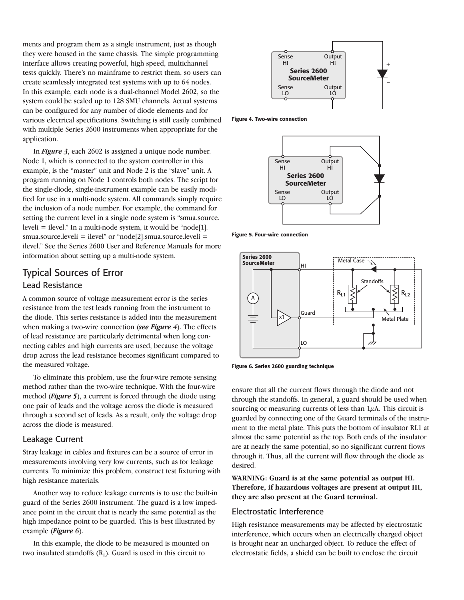ments and program them as a single instrument, just as though they were housed in the same chassis. The simple programming interface allows creating powerful, high speed, multichannel tests quickly. There's no mainframe to restrict them, so users can create seamlessly integrated test systems with up to 64 nodes. In this example, each node is a dual-channel Model 2602, so the system could be scaled up to 128 SMU channels. Actual systems can be configured for any number of diode elements and for various electrical specifications. Switching is still easily combined with multiple Series 2600 instruments when appropriate for the application.

In *Figure 3*, each 2602 is assigned a unique node number. Node 1, which is connected to the system controller in this example, is the "master" unit and Node 2 is the "slave" unit. A program running on Node 1 controls both nodes. The script for the single-diode, single-instrument example can be easily modified for use in a multi-node system. All commands simply require the inclusion of a node number. For example, the command for setting the current level in a single node system is "smua.source. leveli = ilevel." In a multi-node system, it would be "node[1]. smua.source.leveli = ilevel" or "node[2].smua.source.leveli = ilevel." See the Series 2600 User and Reference Manuals for more information about setting up a multi-node system.

### Typical Sources of Error Lead Resistance

A common source of voltage measurement error is the series resistance from the test leads running from the instrument to the diode. This series resistance is added into the measurement when making a two-wire connection (*see Figure 4*). The effects of lead resistance are particularly detrimental when long connecting cables and high currents are used, because the voltage drop across the lead resistance becomes significant compared to the measured voltage.

To eliminate this problem, use the four-wire remote sensing method rather than the two-wire technique. With the four-wire method (*Figure 5*), a current is forced through the diode using one pair of leads and the voltage across the diode is measured through a second set of leads. As a result, only the voltage drop across the diode is measured.

#### Leakage Current

Stray leakage in cables and fixtures can be a source of error in measurements involving very low currents, such as for leakage currents. To minimize this problem, construct test fixturing with high resistance materials.

Another way to reduce leakage currents is to use the built-in guard of the Series 2600 instrument. The guard is a low impedance point in the circuit that is nearly the same potential as the high impedance point to be guarded. This is best illustrated by example (*Figure 6*).

In this example, the diode to be measured is mounted on two insulated standoffs  $(R<sub>I</sub>)$ . Guard is used in this circuit to



Figure 4. Two-wire connection



Figure 5. Four-wire connection



Figure 6. Series 2600 guarding technique

ensure that all the current flows through the diode and not through the standoffs. In general, a guard should be used when sourcing or measuring currents of less than  $1\mu$ A. This circuit is guarded by connecting one of the Guard terminals of the instrument to the metal plate. This puts the bottom of insulator RL1 at almost the same potential as the top. Both ends of the insulator are at nearly the same potential, so no significant current flows through it. Thus, all the current will flow through the diode as desired.

**WARNING: Guard is at the same potential as output HI. Therefore, if hazardous voltages are present at output HI, they are also present at the Guard terminal.**

#### Electrostatic Interference

High resistance measurements may be affected by electrostatic interference, which occurs when an electrically charged object is brought near an uncharged object. To reduce the effect of electrostatic fields, a shield can be built to enclose the circuit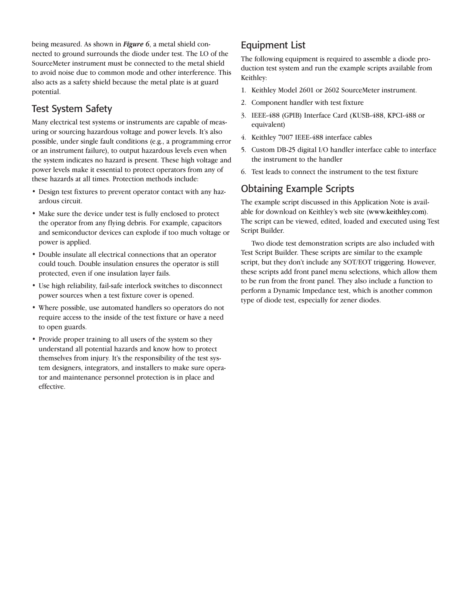being measured. As shown in *Figure 6*, a metal shield connected to ground surrounds the diode under test. The LO of the SourceMeter instrument must be connected to the metal shield to avoid noise due to common mode and other interference. This also acts as a safety shield because the metal plate is at guard potential.

## Test System Safety

Many electrical test systems or instruments are capable of measuring or sourcing hazardous voltage and power levels. It's also possible, under single fault conditions (e.g., a programming error or an instrument failure), to output hazardous levels even when the system indicates no hazard is present. These high voltage and power levels make it essential to protect operators from any of these hazards at all times. Protection methods include:

- Design test fixtures to prevent operator contact with any hazardous circuit.
- Make sure the device under test is fully enclosed to protect the operator from any flying debris. For example, capacitors and semiconductor devices can explode if too much voltage or power is applied.
- Double insulate all electrical connections that an operator could touch. Double insulation ensures the operator is still protected, even if one insulation layer fails.
- Use high reliability, fail-safe interlock switches to disconnect power sources when a test fixture cover is opened.
- Where possible, use automated handlers so operators do not require access to the inside of the test fixture or have a need to open guards.
- Provide proper training to all users of the system so they understand all potential hazards and know how to protect themselves from injury. It's the responsibility of the test system designers, integrators, and installers to make sure operator and maintenance personnel protection is in place and effective.

# Equipment List

The following equipment is required to assemble a diode production test system and run the example scripts available from Keithley:

- 1. Keithley Model 2601 or 2602 SourceMeter instrument.
- 2. Component handler with test fixture
- 3. IEEE-488 (GPIB) Interface Card (KUSB-488, KPCI-488 or equivalent)
- 4. Keithley 7007 IEEE-488 interface cables
- 5. Custom DB-25 digital I/O handler interface cable to interface the instrument to the handler
- 6. Test leads to connect the instrument to the test fixture

# Obtaining Example Scripts

The example script discussed in this Application Note is available for download on Keithley's web site (www.keithley.com). The script can be viewed, edited, loaded and executed using Test Script Builder.

Two diode test demonstration scripts are also included with Test Script Builder. These scripts are similar to the example script, but they don't include any SOT/EOT triggering. However, these scripts add front panel menu selections, which allow them to be run from the front panel. They also include a function to perform a Dynamic Impedance test, which is another common type of diode test, especially for zener diodes.